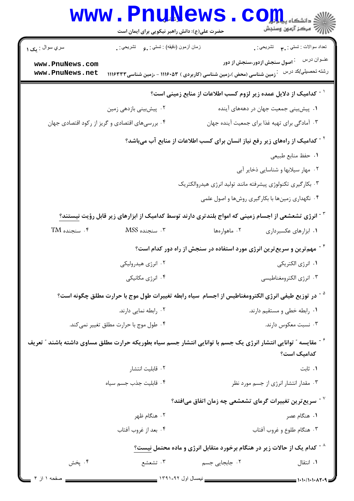|                                                                                                                 | <b>www.PnuNews</b><br>حضرت علی(ع): دانش راهبر نیکویی برای ایمان است                            |                                                                                                                     | ر ج<br>پر کا مرکز آزمون وسنجش                         |  |  |
|-----------------------------------------------------------------------------------------------------------------|------------------------------------------------------------------------------------------------|---------------------------------------------------------------------------------------------------------------------|-------------------------------------------------------|--|--|
| سري سوال : <sub>ي</sub> ک ۱                                                                                     | زمان أزمون (دقيقه) : تستي : , و     تشريحي : .                                                 |                                                                                                                     | تعداد سوالات : تستبي : پم       تشريحي : <sub>.</sub> |  |  |
| www.PnuNews.com<br>www.PnuNews.net                                                                              |                                                                                                | <sup>:</sup> اصول سنجش ازدور،سنجش از دور<br>َرْمین شناسی (محض )،زمین شناسی (کاربردی ) ۱۱۱۶۰۵۳ - ،زمین شناسی ۱۱۱۶۳۳۳ | عنــوان درس<br>رشته تحصيلي/كد درس                     |  |  |
| <sup>۱ -</sup> کدامیک از دلایل عمده زیر لزوم کسب اطلاعات از منابع زمینی است؟                                    |                                                                                                |                                                                                                                     |                                                       |  |  |
|                                                                                                                 | ۰۲ پیشبینی بازدهی زمین                                                                         | ۰۱ پیش بینی جمعیت جهان در دهههای آینده                                                                              |                                                       |  |  |
|                                                                                                                 | ۰۴ بررسیهای اقتصادی و گریز از رکود اقتصادی جهان                                                | ۰۳ آمادگی برای تهیه غذا برای جمعیت آینده جهان                                                                       |                                                       |  |  |
| <sup>۲ -</sup> کدامیک از راههای زیر رفع نیاز انسان برای کسب اطلاعات از منابع آب میباشد؟                         |                                                                                                |                                                                                                                     |                                                       |  |  |
|                                                                                                                 |                                                                                                |                                                                                                                     | ٠١. حفظ منابع طبيعي                                   |  |  |
|                                                                                                                 |                                                                                                |                                                                                                                     | ۰۲ مهار سیلابها و شناسایی ذخایر آبی                   |  |  |
|                                                                                                                 |                                                                                                | ۰۳ بکارگیری تکنولوژی پیشرفته مانند تولید انرژی هیدروالکتریک                                                         |                                                       |  |  |
|                                                                                                                 |                                                                                                | ۰۴ نگهداری زمینها با بکارگیری روشها و اصول علمی                                                                     |                                                       |  |  |
| <sup>۳ -</sup> انرژی تشعشعی از اجسام زمینی که امواج بلندتری دارند توسط کدامیک از ابزارهای زیر قابل رؤیت نیستند؟ |                                                                                                |                                                                                                                     |                                                       |  |  |
| $TM$ . سنجنده $\cdot$ ۴                                                                                         | ۰۳ سنجنده MSS                                                                                  | ۰۲ ماهوارەها                                                                                                        | ۰۱ ابزارهای عکسبرداری                                 |  |  |
|                                                                                                                 | <sup>۶</sup> <sup>-</sup> مهم ترین و سریع ترین انرژی مورد استفاده در سنجش از راه دور کدام است؟ |                                                                                                                     |                                                       |  |  |
|                                                                                                                 | ۰۲ انرژی هیدرولیکی                                                                             |                                                                                                                     | ٠١. انرژي الكتريكي                                    |  |  |
|                                                                                                                 | ۰۴ انرژی مکانیکی                                                                               |                                                                                                                     | ۰۲ انرژی الکترومغناطیسی                               |  |  |
|                                                                                                                 |                                                                                                | <sup>۵ -</sup> در توزیع طیفی انرژی الکترومغناطیس از اجسام  سیاه رابطه تغییرات طول موج با حرارت مطلق چگونه است؟      |                                                       |  |  |
|                                                                                                                 | ۰۲ رابطه نمایی دارند.                                                                          |                                                                                                                     | ۰۱ رابطه خطی و مستقیم دارند.                          |  |  |
|                                                                                                                 | ۰۴ طول موج با حرارت مطلق تغییر نمی کند.                                                        |                                                                                                                     | ۰۳ نسبت معکوس دارند.                                  |  |  |
|                                                                                                                 |                                                                                                | گ مقایسه ″ توانایی انتشار انرژی یک جسم با توانایی انتشار جسم سیاه بطوریکه حرارت مطلق مساوی داشته باشند ″ تعریف      | كداميك است؟                                           |  |  |
|                                                                                                                 | ٠٢ قابليت انتشار                                                                               |                                                                                                                     | ۰۱ ثابت                                               |  |  |
|                                                                                                                 | ۰۴ قابلیت جذب جسم سیاه                                                                         |                                                                                                                     | ۰۳ مقدار انتشار انرژی از جسم مورد نظر                 |  |  |
|                                                                                                                 |                                                                                                | $^{\circ}$ سریع ترین تغییرات گرمای تشعشعی چه زمان اتفاق میافتد $^{\circ}$                                           |                                                       |  |  |
|                                                                                                                 | ۰۲ هنگام ظهر                                                                                   |                                                                                                                     | ۰۱ هنگام عصر                                          |  |  |
|                                                                                                                 | ۰۴ بعد از غروب آفتاب                                                                           |                                                                                                                     | ۰۳ هنگام طلوع و غروب آفتاب                            |  |  |
|                                                                                                                 |                                                                                                | $^{\circ}$ کدام یک از حالات زیر در هنگام برخورد متقابل انرژی و ماده محتمل نیست $^{\circ}$                           |                                                       |  |  |
| ۰۴ پخش                                                                                                          | ۰۳ تشعشع                                                                                       | ۲. جابجایی جسم                                                                                                      | ۰۱ انتقال                                             |  |  |
| صفحه ۱ از ۴                                                                                                     |                                                                                                |                                                                                                                     | $=$ ۱۰۱۰/۱۰۱۰۸۲۰۹                                     |  |  |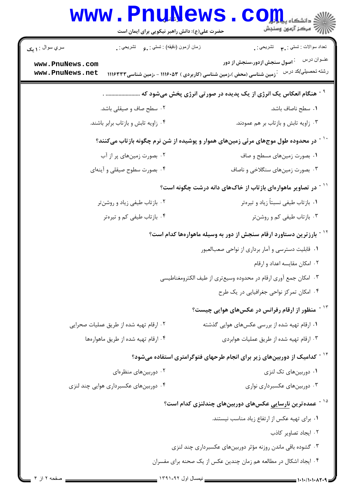|                                                                           | www.PnuNews<br>حضرت علی(ع): دانش راهبر نیکویی برای ایمان است                    | ڪ دانشڪاء پ <b>يا ۽ <mark>جو</mark>ر (</b><br>ر <i>7</i> مرڪز آزمون وسنڊش                                                                                         |  |  |
|---------------------------------------------------------------------------|---------------------------------------------------------------------------------|-------------------------------------------------------------------------------------------------------------------------------------------------------------------|--|--|
| سري سوال : <b>۱ يک</b>                                                    | زمان أزمون (دقيقه) : تستي : ¸。 تشريحي : ¸                                       | تعداد سوالات : تستبي : ٩. مسمد التشريحي : .                                                                                                                       |  |  |
| www.PnuNews.com<br>www.PnuNews.net                                        |                                                                                 | عنــوان درس<br><sup>:</sup> اصول سنجش ازدور،سنجش از دور<br>رشته تحصب <u>لي</u> /کد در س<br>`زمین شناسی (محض )،زمین شناسی (کاربردی ) ۱۱۱۶۰۵۳ - ،زمین شناسی ۱۱۱۶۳۳۳ |  |  |
|                                                                           |                                                                                 | <sup>۹ -</sup> هنگام انعکاس یک انرژی از یک پدیده در صورتی انرژی پخش میشود که  .                                                                                   |  |  |
|                                                                           | ۰۲ سطح صاف و صیقلی باشد.                                                        | ٠١. سطح ناصاف باشد.                                                                                                                                               |  |  |
|                                                                           | ۰۴ زاویه تابش و بازتاب برابر باشند.                                             | ۰۳ زاویه تابش و بازتاب بر هم عمودند.                                                                                                                              |  |  |
|                                                                           |                                                                                 | <sup>۱۰ -</sup> در محدوده طول موجهای مرئی زمینهای هموار و پوشیده از شن نرم چگونه بازتاب میکنند؟                                                                   |  |  |
|                                                                           | ۰۲ بصورت زمینهای پر از آب                                                       | ۰۱ بصورت زمینهای مسطح و صاف                                                                                                                                       |  |  |
|                                                                           | ۰۴ بصورت سطوح صیقلی و آینهای                                                    | ۰۳ بصورت زمینهای سنگلاخی و ناصاف                                                                                                                                  |  |  |
| <sup>۱۱ -</sup> در تصاویر ماهوارهای بازتاب از خاکهای دانه درشت چگونه است؟ |                                                                                 |                                                                                                                                                                   |  |  |
|                                                                           | ۰۲ بازتاب طیفی زیاد و روشنتر                                                    | ۰۱ بازتاب طیفی نسبتاً زیاد و تیرهتر                                                                                                                               |  |  |
|                                                                           | ۰۴ بازتاب طیفی کم و تیرهتر                                                      | ۰۳ بازتاب طیفی کم و روشنتر                                                                                                                                        |  |  |
|                                                                           | <sup>۱۲ -</sup> بارزترین دستاورد ارقام سنجش از دور به وسیله ماهوارهها کدام است؟ |                                                                                                                                                                   |  |  |
|                                                                           |                                                                                 | ۰۱ قابلیت دسترسی و آمار برداری از نواحی صعبالعبور                                                                                                                 |  |  |
|                                                                           |                                                                                 | ۰۲ امکان مقایسه اعداد و ارقام                                                                                                                                     |  |  |
|                                                                           |                                                                                 | ۰۳ امکان جمع آوری ارقام در محدوده وسیعتری از طیف الکترومغناطیسی                                                                                                   |  |  |
|                                                                           |                                                                                 | ۰۴ امکان تمرکز نواحی جغرافیایی در یک طرح                                                                                                                          |  |  |
|                                                                           |                                                                                 | <sup>۱۳ -</sup> منظور از ارقام رفرانس در عکسهای هوایی چیست؟                                                                                                       |  |  |
|                                                                           | ۰۲ ارقام تهیه شده از طریق عملیات صحرایی                                         | ۰۱ ارقام تهیه شده از بررسی عکسهای هوایی گذشته                                                                                                                     |  |  |
|                                                                           | ۰۴ ارقام تهيه شده از طريق ماهوارهها                                             | ۰۳ ارقام تهیه شده از طریق عملیات هوابردی                                                                                                                          |  |  |
|                                                                           |                                                                                 | <sup>-</sup> کدامیک از دوربینهای زیر برای انجام طرحهای فتوگرامتری استفاده میشود؟                                                                                  |  |  |
|                                                                           | ۰۲ دوربینهای منظرهای                                                            | ۰۱ دوربینهای تک لنزی                                                                                                                                              |  |  |
|                                                                           | ۰۴ دوربینهای عکسبرداری هوایی چند لنزی                                           | ۰۳ دوربینهای عکسبرداری نواری                                                                                                                                      |  |  |
|                                                                           |                                                                                 | <sup>۱۵ -</sup> عمده ترین نارسایی عکسهای دوربینهای چندلنزی کدام است؟                                                                                              |  |  |
|                                                                           |                                                                                 | ٠١. براي تهيه عكس از ارتفاع زياد مناسب نيستند.                                                                                                                    |  |  |
|                                                                           |                                                                                 | ٠٢ ايجاد تصاوير كاذب                                                                                                                                              |  |  |
|                                                                           |                                                                                 | ۰۳ گشوده باقی ماندن روزنه مؤثر دوربینهای عکسبرداری چند لنزی                                                                                                       |  |  |
|                                                                           |                                                                                 | ۰۴ ایجاد اشکال در مطالعه هم زمان چندین عکس از یک صحنه برای مفسران                                                                                                 |  |  |
| صفحه ۲ از ۴                                                               |                                                                                 |                                                                                                                                                                   |  |  |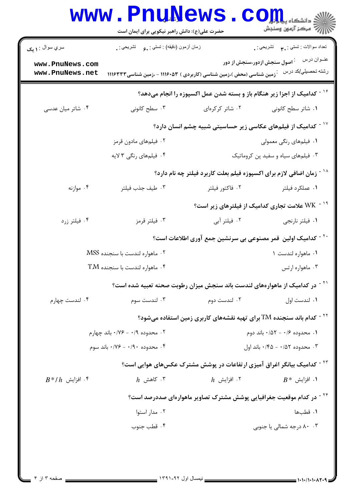| سري سوال : ۱ يک                                 | زمان أزمون (دقيقه) : تستي : ¸عٍ       تشريحي : ¸                                        |                                                                                  | تعداد سوالات : تستي : ٣ <b>. س</b> تشريحي : .                                       |
|-------------------------------------------------|-----------------------------------------------------------------------------------------|----------------------------------------------------------------------------------|-------------------------------------------------------------------------------------|
| www.PnuNews.com<br>www.PnuNews.net              | `زمین شناسی (محض )،زمین شناسی (کاربردی ) ۱۱۱۶۰۵۳ - ،زمین شناسی ۱۱۱۶۳۳۳                  |                                                                                  | عنــوان درس<br><sup>:</sup> اصول سنجش ازدور،سنجش از دور<br>رشته تحصبلي/كد درس       |
|                                                 |                                                                                         |                                                                                  | <sup>۱۶ -</sup> کدامیک از اجزا زیر هنگام باز و بسته شدن عمل اکسپوزه را انجام میدهد؟ |
| ۰۴ شاتر میان عدسی                               | ۰۳ سطح کانونی                                                                           | ۰۲ شاتر کرکرهای                                                                  | ٠١. شاتر سطح كانوني                                                                 |
|                                                 | د - کدامیک از فیلمهای عکاسی زیر حساسیتی شبیه چشم انسان دارد؟ $^{\circ}$                 |                                                                                  |                                                                                     |
|                                                 | ۰۲ فیلمهای مادون قرمز                                                                   | ۰۱ فیلمهای رنگی معمولی                                                           |                                                                                     |
|                                                 | ۴. فیلمهای رنگی ۳ لایه                                                                  |                                                                                  | ۰۳ فیلمهای سیاه و سفید پن کروماتیک                                                  |
|                                                 |                                                                                         | <sup>۱۸ -</sup> زمان اضافی لازم برای اکسپوزه فیلم بعلت کاربرد فیلتر چه نام دارد؟ |                                                                                     |
| ۰۴ موازنه                                       | ٠٣ طيف جذب فيلتر                                                                        | ۰۲ فاکتور فیلتر                                                                  | ٠١ عملكرد فيلتر                                                                     |
|                                                 |                                                                                         |                                                                                  | <sup>۱۹ -</sup> WK علامت تجاری کدامیک از فیلترهای زیر است؟                          |
| ۰۴ فیلتر زرد                                    | ۰۳ فیلتر قرمز                                                                           | ۰۲ فیلتر آبی                                                                     | ٠١ فيلتر نارنجي                                                                     |
|                                                 |                                                                                         | <sup>۲۰ -</sup> کدامیک اولین  قمر مصنوعی بی سرنشین جمع آوری اطلاعات است؟         |                                                                                     |
| ۰۲ ماهواره لندست با سنجنده MSS                  |                                                                                         |                                                                                  | ۰۱ ماهواره لندست ۱                                                                  |
| $\mathrm{T}M$ ماهواره لندست با سنجنده $\cdot$ ۴ |                                                                                         |                                                                                  | ۰۳ ماهواره ارتس                                                                     |
|                                                 | <sup>۲۱ -</sup> در کدامیک از ماهوارههای لندست باند سنجش میزان رطوبت صحنه تعبیه شده است؟ |                                                                                  |                                                                                     |
| ۰۴ لندست چهارم                                  | ۰۳ لندست سوم                                                                            | ۰۲ لندست دوم                                                                     | ۰۱ لندست اول                                                                        |
|                                                 | <sup>۲۲ -</sup> کدام باند سنجنده TM برای تهیه نقشههای کاربری زمین استفاده میشود؟        |                                                                                  |                                                                                     |
|                                                 | ۰۲ محدوده ۰/۹ - ۰/۷۶ باند چهارم                                                         | $\cdot$ ا. محدوده ۰/۶ - ۰/۵۲ باند دوم                                            |                                                                                     |
|                                                 | ۰۴ محدوده ۰/۹۰ - ۰/۷۶ باند سوم                                                          | ۰۳ محدوده ۵۲/۰ - ۰/۴۵ باند اول                                                   |                                                                                     |
|                                                 |                                                                                         |                                                                                  | <sup>۲۳ -</sup> کدامیک بیانگر اغراق آمیزی ارتفاعات در پوشش مشترک عکسهای هوایی است؟  |
| $B^*/h$ افزایش $\cdot$ * $^{\circ}$             | $h$ کاهش $\cdot$ ۳                                                                      | ا افزايش $h$ . $^\intercal$                                                      | $B^*$ افزايش، $B^*$                                                                 |
|                                                 | <sup>۲۴ -</sup> در کدام موقعیت جغرافیایی پوشش مشترک تصاویر ماهوارهای صددرصد است؟        |                                                                                  |                                                                                     |
|                                                 | ۰۲ مدار استوا                                                                           |                                                                                  | ٠١. قطبها                                                                           |
| ۰۴ قطب جنوب                                     |                                                                                         |                                                                                  | ۰۰ ۸۰ درجه شمالی یا جنوبی                                                           |